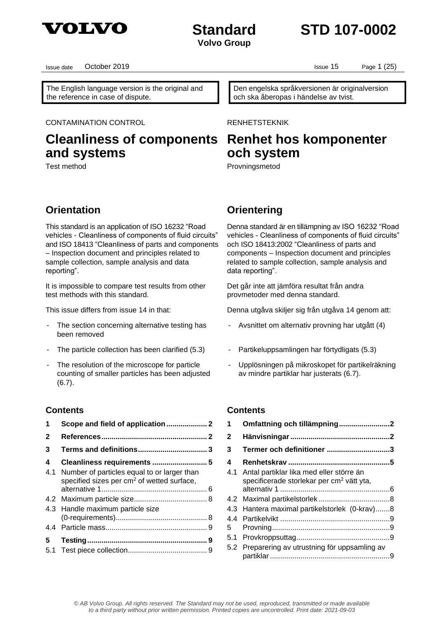

## **Standard STD 107-0002**

The English language version is the original and the reference in case of dispute.

Issue date Cortober 2019 **ISSUE 2019** Issue 15 Page 1 (25)

Den engelska språkversionen är originalversion och ska åberopas i händelse av tvist.

CONTAMINATION CONTROL **EXAMPLE RENHETSTEKNIK** 

## **Cleanliness of components and systems**

## **Renhet hos komponenter och system**

Test method **Provningsmetod** Provningsmetod

### **Orientation Orientering**

This standard is an application of ISO 16232 "Road vehicles - Cleanliness of components of fluid circuits" and ISO 18413 "Cleanliness of parts and components – Inspection document and principles related to sample collection, sample analysis and data reporting".

It is impossible to compare test results from other test methods with this standard.

- The section concerning alternative testing has been removed
- The particle collection has been clarified (5.3) Partikeluppsamlingen har förtydligats (5.3)
- The resolution of the microscope for particle counting of smaller particles has been adjusted (6.7).

### **Contents**

| 1            |                                                                                                       |
|--------------|-------------------------------------------------------------------------------------------------------|
| $\mathbf{2}$ |                                                                                                       |
| 3            |                                                                                                       |
| 4            |                                                                                                       |
| 4.1          | Number of particles equal to or larger than<br>specified sizes per cm <sup>2</sup> of wetted surface, |
|              |                                                                                                       |
|              | 4.3 Handle maximum particle size                                                                      |
|              |                                                                                                       |
| 5.           |                                                                                                       |

Denna standard är en tillämpning av ISO 16232 "Road vehicles - Cleanliness of components of fluid circuits" och ISO 18413:2002 "Cleanliness of parts and components – Inspection document and principles related to sample collection, sample analysis and data reporting".

Det går inte att jämföra resultat från andra provmetoder med denna standard.

This issue differs from issue 14 in that: Denna utgåva skiljer sig från utgåva 14 genom att:

- Avsnittet om alternativ provning har utgått (4)
- 
- Upplösningen på mikroskopet för partikelräkning av mindre partiklar har justerats (6.7).

### **Contents**

| 1   | Omfattning och tillämpning2                                                                       |  |
|-----|---------------------------------------------------------------------------------------------------|--|
| 2   |                                                                                                   |  |
| 3   | Termer och definitioner 3                                                                         |  |
| 4   |                                                                                                   |  |
| 4.1 | Antal partiklar lika med eller större än<br>specificerade storlekar per cm <sup>2</sup> vätt yta, |  |
|     |                                                                                                   |  |
| 4.3 | Hantera maximal partikelstorlek (0-krav)8                                                         |  |
| 5.  |                                                                                                   |  |
|     |                                                                                                   |  |
| 5.2 | Preparering av utrustning för uppsamling av                                                       |  |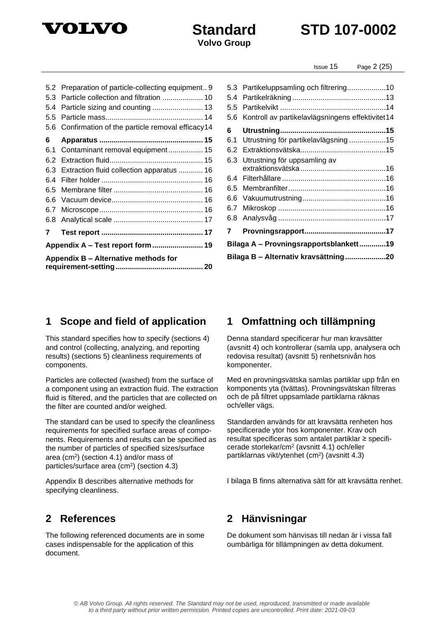

## **Standard STD 107-0002**

### 5.2 [Preparation of particle-collecting equipment](#page-8-7).. 9 5.3 [Particle collection and filtration](#page-9-0) .................... 10 5.4 [Particle sizing and counting](#page-12-0) ......................... 13 5.5 [Particle mass................................................](#page-13-0) 14 5.6 [Confirmation of the particle removal efficacy14](#page-13-1) **6 Apparatus [...................................................](#page-14-0) 15** 6.1 [Contaminant removal equipment](#page-14-1) ................. 15 6.2 [Extraction fluid..............................................](#page-14-2) 15 6.3 [Extraction fluid collection apparatus](#page-15-0) ............ 16 6.4 Filter holder [..................................................](#page-15-1) 16 6.5 Membrane filter [............................................](#page-15-2) 16 6.6 [Vacuum device.............................................](#page-15-3) 16 6.7 [Microscope...................................................](#page-15-4) 16 6.8 Analytical scale [............................................](#page-16-0) 17 **7 Test report [..................................................](#page-16-1) 17 Appendix A – [Test report form.........................](#page-18-0) 19 Appendix B – [Alternative methods for](#page-19-0)  requirement-setting [...........................................](#page-19-0) 20**

### 5.3 Partikeluppsamling och [filtrering...................10](#page-9-1) 5.4 Partikelräkning [..............................................13](#page-12-1) 5.5 Partikelvikt [....................................................14](#page-13-2) 5.6 Kontroll av [partikelavlägsningens](#page-13-3) effektivitet14 **6 [Utrustning....................................................15](#page-14-3)** 6.1 Utrustning för [partikelavlägsning](#page-14-4) ..................15 6.2 [Extraktionsvätska..........................................15](#page-14-5) 6.3 [Utrustning för uppsamling av](#page-15-5)  extraktionsvätska [..........................................16](#page-15-5) 6.4 Filterhållare [...................................................16](#page-15-6) 6.5 [Membranfilter................................................16](#page-15-7) 6.6 [Vakuumutrustning.........................................16](#page-15-8) 6.7 Mikroskop [.....................................................16](#page-15-9) 6.8 Analysvåg [.....................................................17](#page-16-2) **7 [Provningsrapport........................................17](#page-16-3) Bilaga A – [Provningsrapportsblankett.............19](#page-18-1) Bilaga B – [Alternativ kravsättning....................20](#page-19-1)**

### <span id="page-1-0"></span>**1 Scope and field of application 1 Omfattning och tillämpning**

This standard specifies how to specify (sections 4) and control (collecting, analyzing, and reporting results) (sections 5) cleanliness requirements of components.

Particles are collected (washed) from the surface of a component using an extraction fluid. The extraction fluid is filtered, and the particles that are collected on the filter are counted and/or weighed.

The standard can be used to specify the cleanliness requirements for specified surface areas of components. Requirements and results can be specified as the number of particles of specified sizes/surface area (cm<sup>2</sup> ) (section 4.1) and/or mass of particles/surface area (cm<sup>2</sup>) (section 4.3)

Appendix B describes alternative methods for specifying cleanliness.

The following referenced documents are in some cases indispensable for the application of this document.

<span id="page-1-2"></span>Denna standard specificerar hur man kravsätter (avsnitt 4) och kontrollerar (samla upp, analysera och redovisa resultat) (avsnitt 5) renhetsnivån hos komponenter.

Med en provningsvätska samlas partiklar upp från en komponents yta (tvättas). Provningsvätskan filtreras och de på filtret uppsamlade partiklarna räknas och/eller vägs.

Standarden används för att kravsätta renheten hos specificerade ytor hos komponenter. Krav och resultat specificeras som antalet partiklar ≥ specificerade storlekar/cm<sup>2</sup> (avsnitt 4.1) och/eller partiklarnas vikt/ytenhet (cm<sup>2</sup>) (avsnitt 4.3)

<span id="page-1-3"></span>I bilaga B finns alternativa sätt för att kravsätta renhet.

### <span id="page-1-1"></span>**2 References 2 Hänvisningar**

De dokument som hänvisas till nedan är i vissa fall oumbärliga för tillämpningen av detta dokument.

Issue 15 Page 2 (25)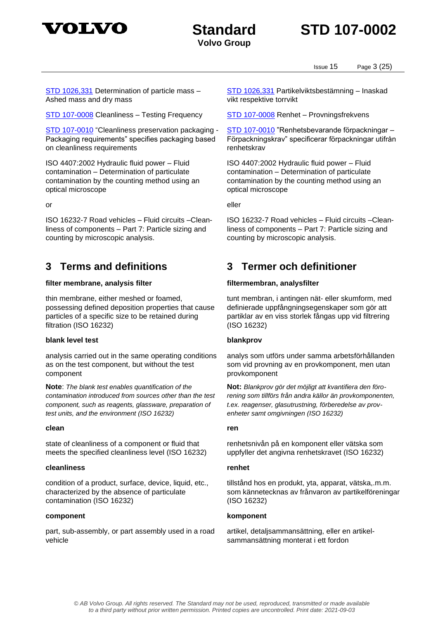

**Volvo Group**

Issue 15 Page 3 (25)

[STD 1026,331](1026331.pdf) Determination of particle mass – Ashed mass and dry mass

[STD 107-0008](107-0008.pdf) Cleanliness – Testing Frequency [STD 107-0008](107-0008.pdf) Renhet – Provningsfrekvens

[STD 107-0010](107-0010.pdf) "Cleanliness preservation packaging - Packaging requirements" specifies packaging based on cleanliness requirements

ISO 4407:2002 Hydraulic fluid power – Fluid contamination – Determination of particulate contamination by the counting method using an optical microscope

ISO 16232-7 Road vehicles – Fluid circuits –Cleanliness of components – Part 7: Particle sizing and counting by microscopic analysis.

### **filter membrane, analysis filter filtermembran, analysfilter**

thin membrane, either meshed or foamed, possessing defined deposition properties that cause particles of a specific size to be retained during filtration (ISO 16232)

### **blank level test blankprov**

analysis carried out in the same operating conditions as on the test component, but without the test component

**Note**: *The blank test enables quantification of the contamination introduced from sources other than the test component, such as reagents, glassware, preparation of test units, and the environment (ISO 16232)*

#### **clean ren**

state of cleanliness of a component or fluid that meets the specified cleanliness level (ISO 16232)

#### **cleanliness renhet**

condition of a product, surface, device, liquid, etc., characterized by the absence of particulate contamination (ISO 16232)

#### **component komponent**

part, sub-assembly, or part assembly used in a road vehicle

[STD 1026,331](1026331.pdf) Partikelviktsbestämning – Inaskad vikt respektive torrvikt

[STD 107-0010](107-0010.pdf) "Renhetsbevarande förpackningar – Förpackningskrav" specificerar förpackningar utifrån renhetskrav

ISO 4407:2002 Hydraulic fluid power – Fluid contamination – Determination of particulate contamination by the counting method using an optical microscope

or eller

<span id="page-2-1"></span>ISO 16232-7 Road vehicles – Fluid circuits –Cleanliness of components – Part 7: Particle sizing and counting by microscopic analysis.

### <span id="page-2-0"></span>**3 Terms and definitions 3 Termer och definitioner**

tunt membran, i antingen nät- eller skumform, med definierade uppfångningsegenskaper som gör att partiklar av en viss storlek fångas upp vid filtrering (ISO 16232)

analys som utförs under samma arbetsförhållanden som vid provning av en provkomponent, men utan provkomponent

**Not:** *Blankprov gör det möjligt att kvantifiera den förorening som tillförs från andra källor än provkomponenten, t.ex. reagenser, glasutrustning, förberedelse av provenheter samt omgivningen (ISO 16232)*

renhetsnivån på en komponent eller vätska som uppfyller det angivna renhetskravet (ISO 16232)

tillstånd hos en produkt, yta, apparat, vätska,.m.m. som kännetecknas av frånvaron av partikelföreningar (ISO 16232)

artikel, detaljsammansättning, eller en artikelsammansättning monterat i ett fordon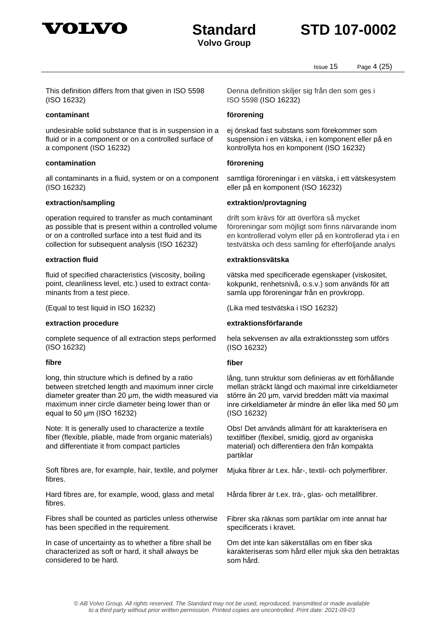



Issue 15 Page 4 (25)

This definition differs from that given in ISO 5598 (ISO 16232)

#### **contaminant förorening**

undesirable solid substance that is in suspension in a fluid or in a component or on a controlled surface of a component (ISO 16232)

#### **contamination förorening**

all contaminants in a fluid, system or on a component (ISO 16232)

operation required to transfer as much contaminant as possible that is present within a controlled volume or on a controlled surface into a test fluid and its collection for subsequent analysis (ISO 16232)

fluid of specified characteristics (viscosity, boiling point, cleanliness level, etc.) used to extract contaminants from a test piece.

(Equal to test liquid in ISO 16232) (Lika med testvätska i ISO 16232)

complete sequence of all extraction steps performed (ISO 16232)

#### **fibre fiber**

long, thin structure which is defined by a ratio between stretched length and maximum inner circle diameter greater than 20 μm, the width measured via maximum inner circle diameter being lower than or equal to 50 μm (ISO 16232)

Note: It is generally used to characterize a textile fiber (flexible, pliable, made from organic materials) and differentiate it from compact particles

Soft fibres are, for example, hair, textile, and polymer fibres.

Hard fibres are, for example, wood, glass and metal fibres.

Fibres shall be counted as particles unless otherwise has been specified in the requirement.

In case of uncertainty as to whether a fibre shall be characterized as soft or hard, it shall always be considered to be hard.

Denna definition skiljer sig från den som ges i ISO 5598 (ISO 16232)

ej önskad fast substans som förekommer som suspension i en vätska, i en komponent eller på en kontrollyta hos en komponent (ISO 16232)

samtliga föroreningar i en vätska, i ett vätskesystem eller på en komponent (ISO 16232)

#### **extraction/sampling extraktion/provtagning**

drift som krävs för att överföra så mycket föroreningar som möjligt som finns närvarande inom en kontrollerad volym eller på en kontrollerad yta i en testvätska och dess samling för efterföljande analys

#### **extraction fluid extraktionsvätska**

vätska med specificerade egenskaper (viskositet, kokpunkt, renhetsnivå, o.s.v.) som används för att samla upp föroreningar från en provkropp.

#### **extraction procedure extraktionsförfarande**

hela sekvensen av alla extraktionssteg som utförs (ISO 16232)

lång, tunn struktur som definieras av ett förhållande mellan sträckt längd och maximal inre cirkeldiameter större än 20 μm, varvid bredden mätt via maximal inre cirkeldiameter är mindre än eller lika med 50 μm (ISO 16232)

Obs! Det används allmänt för att karakterisera en textilfiber (flexibel, smidig, gjord av organiska material) och differentiera den från kompakta partiklar

Mjuka fibrer är t.ex. hår-, textil- och polymerfibrer.

Hårda fibrer är t.ex. trä-, glas- och metallfibrer.

Fibrer ska räknas som partiklar om inte annat har specificerats i kravet.

Om det inte kan säkerställas om en fiber ska karakteriseras som hård eller mjuk ska den betraktas som hård.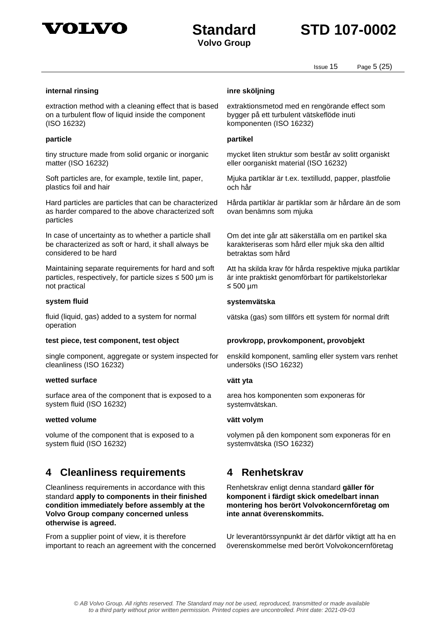

## **Standard STD 107-0002**

Issue 15 Page 5 (25)

#### **internal rinsing inre sköljning**

extraction method with a cleaning effect that is based on a turbulent flow of liquid inside the component (ISO 16232)

#### **particle partikel**

tiny structure made from solid organic or inorganic matter (ISO 16232)

Soft particles are, for example, textile lint, paper, plastics foil and hair

Hard particles are particles that can be characterized as harder compared to the above characterized soft particles

In case of uncertainty as to whether a particle shall be characterized as soft or hard, it shall always be considered to be hard

Maintaining separate requirements for hard and soft particles, respectively, for particle sizes  $\leq 500$  µm is not practical

fluid (liquid, gas) added to a system for normal operation

single component, aggregate or system inspected for cleanliness (ISO 16232)

#### **wetted surface vätt yta**

surface area of the component that is exposed to a system fluid (ISO 16232)

#### **wetted volume vätt volym**

volume of the component that is exposed to a system fluid (ISO 16232)

### <span id="page-4-0"></span>**4 Cleanliness requirements 4 Renhetskrav**

Cleanliness requirements in accordance with this standard **apply to components in their finished condition immediately before assembly at the Volvo Group company concerned unless otherwise is agreed.**

From a supplier point of view, it is therefore important to reach an agreement with the concerned

extraktionsmetod med en rengörande effect som bygger på ett turbulent vätskeflöde inuti komponenten (ISO 16232)

mycket liten struktur som består av solitt organiskt eller oorganiskt material (ISO 16232)

Mjuka partiklar är t.ex. textilludd, papper, plastfolie och hår

Hårda partiklar är partiklar som är hårdare än de som ovan benämns som mjuka

Om det inte går att säkerställa om en partikel ska karakteriseras som hård eller mjuk ska den alltid betraktas som hård

Att ha skilda krav för hårda respektive mjuka partiklar är inte praktiskt genomförbart för partikelstorlekar ≤ 500 µm

#### **system fluid systemvätska**

vätska (gas) som tillförs ett system för normal drift

#### **test piece, test component, test object provkropp, provkomponent, provobjekt**

enskild komponent, samling eller system vars renhet undersöks (ISO 16232)

area hos komponenten som exponeras för systemvätskan.

<span id="page-4-1"></span>volymen på den komponent som exponeras för en systemvätska (ISO 16232)

Renhetskrav enligt denna standard **gäller för komponent i färdigt skick omedelbart innan montering hos berört Volvokoncernföretag om inte annat överenskommits.**

Ur leverantörssynpunkt är det därför viktigt att ha en överenskommelse med berört Volvokoncernföretag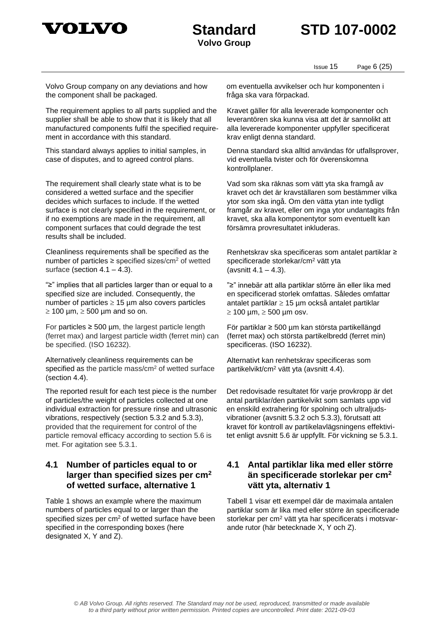

## **Standard STD 107-0002**

Issue 15 Page 6 (25)

Volvo Group company on any deviations and how the component shall be packaged.

The requirement applies to all parts supplied and the supplier shall be able to show that it is likely that all manufactured components fulfil the specified requirement in accordance with [this](file://///vcn.ds.volvo.net/cli-sd/sd0878/036601/Eva%20Suneson/Tommy/107-0002%20justering%205091,159/107-0002.pdf) standard.

This standard always applies to initial samples, in case of disputes, and to agreed control plans.

The requirement shall clearly state what is to be considered a wetted surface and the specifier decides which surfaces to include. If the wetted surface is not clearly specified in the requirement, or if no exemptions are made in the requirement, all component surfaces that could degrade the test results shall be included.

Cleanliness requirements shall be specified as the number of particles  $\geq$  specified sizes/cm<sup>2</sup> of wetted surface (section  $4.1 - 4.3$ ).

"≥" implies that all particles larger than or equal to a specified size are included. Consequently, the number of particles  $\geq 15$  µm also covers particles  $\geq$  100 µm,  $\geq$  500 µm and so on.

For particles  $\geq 500$  µm, the largest particle length (ferret max) and largest particle width (ferret min) can be specified. (ISO 16232).

Alternatively cleanliness requirements can be specified as the particle mass/cm<sup>2</sup> of wetted surface (section 4.4).

The reported result for each test piece is the number of particles/the weight of particles collected at one individual extraction for pressure rinse and ultrasonic vibrations, respectively (section 5.3.2 and 5.3.3), provided that the requirement for control of the particle removal efficacy according to section 5.6 is met. For agitation see 5.3.1.

### <span id="page-5-0"></span>**4.1 Number of particles equal to or larger than specified sizes per cm<sup>2</sup> of wetted surface, alternative 1**

Table 1 shows an example where the maximum numbers of particles equal to or larger than the specified sizes per cm<sup>2</sup> of wetted surface have been specified in the corresponding boxes (here designated X, Y and Z).

om eventuella avvikelser och hur komponenten i fråga ska vara förpackad.

Kravet gäller för alla levererade komponenter och leverantören ska kunna visa att det är sannolikt att alla levererade komponenter uppfyller specificerat krav enligt [denna](file://///vcn.ds.volvo.net/cli-sd/sd0878/036601/Eva%20Suneson/Tommy/107-0002%20justering%205091,159/107-0002.pdf) standard.

Denna standard ska alltid användas för utfallsprover, vid eventuella tvister och för överenskomna kontrollplaner.

Vad som ska räknas som vätt yta ska framgå av kravet och det är kravställaren som bestämmer vilka ytor som ska ingå. Om den vätta ytan inte tydligt framgår av kravet, eller om inga ytor undantagits från kravet, ska alla komponentytor som eventuellt kan försämra provresultatet inkluderas.

Renhetskrav ska specificeras som antalet partiklar ≥ specificerade storlekar/cm<sup>2</sup> vätt yta (avsnitt  $4.1 - 4.3$ ).

"≥" innebär att alla partiklar större än eller lika med en specificerad storlek omfattas. Således omfattar antalet partiklar  $\geq 15$  µm också antalet partiklar  $\geq 100$  µm,  $\geq 500$  µm osv.

För partiklar ≥ 500 µm kan största partikellängd (ferret max) och största partikelbredd (ferret min) specificeras. (ISO 16232).

Alternativt kan renhetskrav specificeras som partikelvikt/cm<sup>2</sup> vätt yta (avsnitt 4.4).

Det redovisade resultatet för varje provkropp är det antal partiklar/den partikelvikt som samlats upp vid en enskild extrahering för spolning och ultraljudsvibrationer (avsnitt 5.3.2 och 5.3.3), förutsatt att kravet för kontroll av partikelavlägsningens effektivitet enligt avsnitt 5.6 är uppfyllt. För vickning se 5.3.1.

### <span id="page-5-1"></span>**4.1 Antal partiklar lika med eller större än specificerade storlekar per cm<sup>2</sup> vätt yta, alternativ 1**

Tabell 1 visar ett exempel där de maximala antalen partiklar som är lika med eller större än specificerade storlekar per cm<sup>2</sup> vätt yta har specificerats i motsvarande rutor (här betecknade X, Y och Z).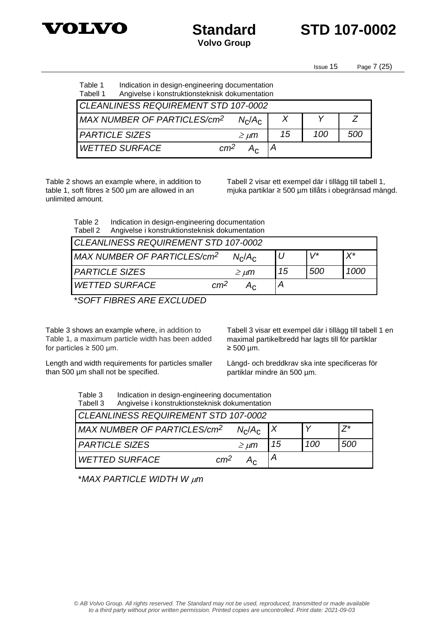



Issue 15 Page 7 (25)

#### Table 1 Indication in design-engineering documentation<br>Tabell 1 Angivelse i konstruktionsteknisk dokumentation Angivelse i konstruktionsteknisk dokumentation

| CLEANLINESS REQUIREMENT STD 107-0002    |                 |    |     |     |  |  |
|-----------------------------------------|-----------------|----|-----|-----|--|--|
| MAX NUMBER OF PARTICLES/cm <sup>2</sup> |                 |    |     |     |  |  |
| <b>PARTICLE SIZES</b>                   | $\geq \mu m$    | 15 | 100 | 500 |  |  |
| <b>WETTED SURFACE</b>                   | cm <sup>2</sup> |    |     |     |  |  |

Table 2 shows an example where, in addition to table 1, soft fibres ≥ 500  $\mu$ m are allowed in an unlimited amount.

Tabell 2 visar ett exempel där i tillägg till tabell 1, mjuka partiklar ≥ 500 µm tillåts i obegränsad mängd.

Table 2 Indication in design-engineering documentation Tabell 2 Angivelse i konstruktionsteknisk dokumentation

| CLEANLINESS REQUIREMENT STD 107-0002    |                 |                |    |      |                      |
|-----------------------------------------|-----------------|----------------|----|------|----------------------|
| MAX NUMBER OF PARTICLES/cm <sup>2</sup> |                 | $N_c/A_c$      |    | \ /* | $\mathsf{Y}^{\star}$ |
| <b>PARTICLE SIZES</b>                   |                 | $\geq \mu m$   | 15 | 500  | 1000                 |
| <b>WETTED SURFACE</b>                   | cm <sup>2</sup> | 4 <sub>c</sub> |    |      |                      |
|                                         |                 |                |    |      |                      |

\**SOFT FIBRES ARE EXCLUDED*

Table 3 shows an example where, in addition to Table 1, a maximum particle width has been added for particles  $\geq 500$  µm.

Tabell 3 visar ett exempel där i tillägg till tabell 1 en maximal partikelbredd har lagts till för partiklar  $\geq 500$  µm.

Length and width requirements for particles smaller than 500 µm shall not be specified.

Längd- och breddkrav ska inte specificeras för partiklar mindre än 500 µm.

| Table 3  | Indication in design-engineering documentation |
|----------|------------------------------------------------|
| Tabell 3 | Angivelse i konstruktionsteknisk dokumentation |

| CLEANLINESS REQUIREMENT STD 107-0002     |              |    |     |     |  |
|------------------------------------------|--------------|----|-----|-----|--|
|                                          |              |    |     |     |  |
| MAX NUMBER OF PARTICLES/cm <sup>2</sup>  | $N_c/A_c$    |    |     |     |  |
| <i>PARTICLE SIZES</i>                    | $\geq \mu m$ | 15 | 100 | 500 |  |
| <b>WETTED SURFACE</b><br>cm <sup>2</sup> |              |    |     |     |  |

\**MAX PARTICLE WIDTH W m*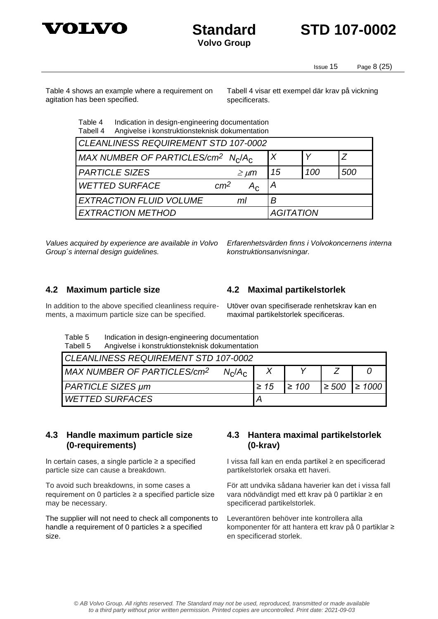



Issue 15 Page 8 (25)

Table 4 shows an example where a requirement on agitation has been specified.

Tabell 4 visar ett exempel där krav på vickning specificerats.

Table 4 Indication in design-engineering documentation Tabell 4 Angivelse i konstruktionsteknisk dokumentation

| CLEANLINESS REQUIREMENT STD 107-0002                                   |                  |     |     |  |  |
|------------------------------------------------------------------------|------------------|-----|-----|--|--|
| MAX NUMBER OF PARTICLES/cm <sup>2</sup> N <sub>C</sub> /A <sub>C</sub> | $\boldsymbol{X}$ |     |     |  |  |
| <b>PARTICLE SIZES</b><br>$\geq \mu m$                                  | 15               | 100 | 500 |  |  |
| <b>WETTED SURFACE</b><br>cm <sup>2</sup><br>$A_{\rm c}$                |                  |     |     |  |  |
| <b>EXTRACTION FLUID VOLUME</b><br>R<br>ml                              |                  |     |     |  |  |
| <b>EXTRACTION METHOD</b><br><b>AGITATION</b>                           |                  |     |     |  |  |

*Values acquired by experience are available in Volvo Group´s internal design guidelines.*

*Erfarenhetsvärden finns i Volvokoncernens interna konstruktionsanvisningar.*

In addition to the above specified cleanliness requirements, a maximum particle size can be specified.

<span id="page-7-0"></span>**4.2 Maximum particle size 4.2 Maximal partikelstorlek**

<span id="page-7-2"></span>Utöver ovan specifiserade renhetskrav kan en maximal partikelstorlek specificeras.

| Table 5 | Indication in design-engineering documentation |
|---------|------------------------------------------------|
| エっトっ=に  | Angivoleo i konetruktionetakniek dokumentation |

| ט ווטשא ו<br><b><i><u>Prignesse i Konstruktionsteknisk dokumentation</u></i></b> |           |            |  |                        |  |
|----------------------------------------------------------------------------------|-----------|------------|--|------------------------|--|
| CLEANLINESS REQUIREMENT STD 107-0002                                             |           |            |  |                        |  |
| MAX NUMBER OF PARTICLES/cm <sup>2</sup><br>$N_c/A_c$                             |           |            |  |                        |  |
| <b>PARTICLE SIZES µm</b>                                                         | $\geq 15$ | $\geq 100$ |  | $\geq 500$ $\geq 1000$ |  |
| <i>WETTED SURFACES</i>                                                           |           |            |  |                        |  |

### <span id="page-7-1"></span>**4.3 Handle maximum particle size (0-requirements)**

In certain cases, a single particle  $\geq$  a specified particle size can cause a breakdown.

To avoid such breakdowns, in some cases a requirement on 0 particles ≥ a specified particle size may be necessary.

The supplier will not need to check all components to handle a requirement of 0 particles ≥ a specified size.

### <span id="page-7-3"></span>**4.3 Hantera maximal partikelstorlek (0-krav)**

I vissa fall kan en enda partikel ≥ en specificerad partikelstorlek orsaka ett haveri.

För att undvika sådana haverier kan det i vissa fall vara nödvändigt med ett krav på 0 partiklar ≥ en specificerad partikelstorlek.

Leverantören behöver inte kontrollera alla komponenter för att hantera ett krav på 0 partiklar ≥ en specificerad storlek.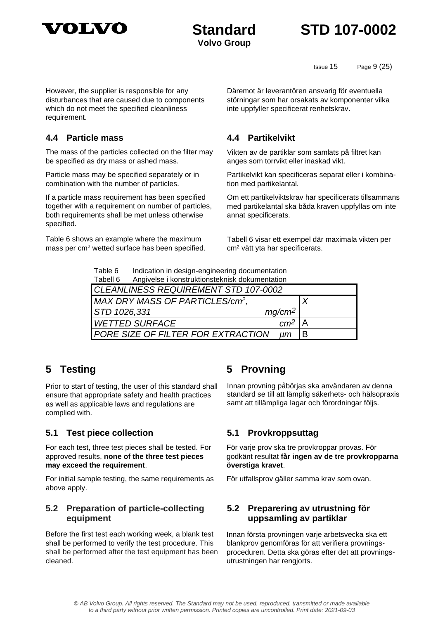

## **Standard STD 107-0002**

Issue 15 Page 9 (25)

However, the supplier is responsible for any disturbances that are caused due to components which do not meet the specified cleanliness requirement.

### <span id="page-8-0"></span>**4.4 Particle mass 4.4 Partikelvikt**

The mass of the particles collected on the filter may be specified as dry mass or ashed mass.

Particle mass may be specified separately or in combination with the number of particles.

If a particle mass requirement has been specified together with a requirement on number of particles, both requirements shall be met unless otherwise specified.

Table 6 shows an example where the maximum mass per cm<sup>2</sup> wetted surface has been specified. Däremot är leverantören ansvarig för eventuella störningar som har orsakats av komponenter vilka inte uppfyller specificerat renhetskrav.

<span id="page-8-3"></span>Vikten av de partiklar som samlats på filtret kan anges som torrvikt eller inaskad vikt.

Partikelvikt kan specificeras separat eller i kombination med partikelantal.

Om ett partikelviktskrav har specificerats tillsammans med partikelantal ska båda kraven uppfyllas om inte annat specificerats.

Tabell 6 visar ett exempel där maximala vikten per cm<sup>2</sup> vätt yta har specificerats.

Table 6 Indication in design-engineering documentation Tabell 6 Angivelse i konstruktionsteknisk dokumentation

| i abell o<br>Angiveise Fronstruktionsteknisk dokumentation                      |   |  |  |  |
|---------------------------------------------------------------------------------|---|--|--|--|
| CLEANLINESS REQUIREMENT STD 107-0002                                            |   |  |  |  |
| MAX DRY MASS OF PARTICLES/cm <sup>2</sup> ,                                     |   |  |  |  |
| $mg/cm^2$<br>STD 1026,331                                                       |   |  |  |  |
| $cm2$   A<br><b>WETTED SURFACE</b>                                              |   |  |  |  |
| <b>PORE SIZE OF FILTER FOR EXTRACTION</b><br>$\mathsf{I} \mathsf{I} \mathsf{m}$ | B |  |  |  |

Prior to start of testing, the user of this standard shall ensure that appropriate safety and health practices as well as applicable laws and regulations are complied with.

### <span id="page-8-2"></span>**5.1 Test piece collection 5.1 Provkroppsuttag**

For each test, three test pieces shall be tested. For approved results, **none of the three test pieces may exceed the requirement**.

For initial sample testing, the same requirements as above apply.

### <span id="page-8-7"></span>**5.2 Preparation of particle-collecting equipment**

Before the first test each working week, a blank test shall be performed to verify the test procedure. This shall be performed after the test equipment has been cleaned.

### <span id="page-8-1"></span>**5 Testing 5 Provning**

<span id="page-8-4"></span>Innan provning påbörjas ska användaren av denna standard se till att lämplig säkerhets- och hälsopraxis samt att tillämpliga lagar och förordningar följs.

<span id="page-8-5"></span>För varje prov ska tre provkroppar provas. För godkänt resultat **får ingen av de tre provkropparna överstiga kravet**.

För utfallsprov gäller samma krav som ovan.

### <span id="page-8-6"></span>**5.2 Preparering av utrustning för uppsamling av partiklar**

Innan första provningen varje arbetsvecka ska ett blankprov genomföras för att verifiera provningsproceduren. Detta ska göras efter det att provningsutrustningen har rengjorts.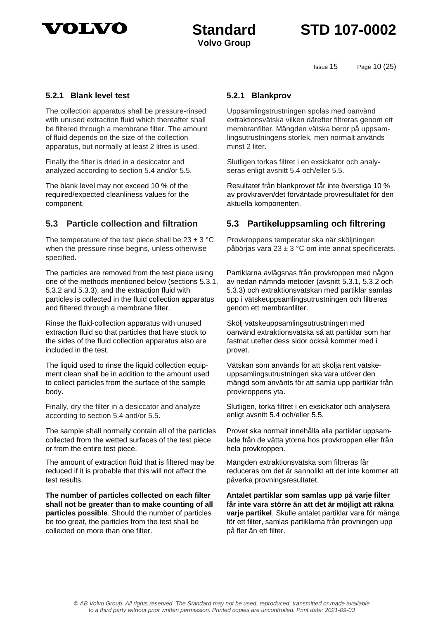

Issue 15 Page 10 (25)

### **5.2.1 Blank level test 5.2.1 Blankprov**

The collection apparatus shall be pressure-rinsed with unused extraction fluid which thereafter shall be filtered through a membrane filter. The amount of fluid depends on the size of the collection apparatus, but normally at least 2 litres is used.

Finally the filter is dried in a desiccator and analyzed according to section 5.4 and/or 5.5.

The blank level may not exceed 10 % of the required/expected cleanliness values for the component.

The temperature of the test piece shall be  $23 \pm 3$  °C when the pressure rinse begins, unless otherwise specified.

The particles are removed from the test piece using one of the methods mentioned below (sections 5.3.1, 5.3.2 and 5.3.3), and the extraction fluid with particles is collected in the fluid collection apparatus and filtered through a membrane filter.

Rinse the fluid-collection apparatus with unused extraction fluid so that particles that have stuck to the sides of the fluid collection apparatus also are included in the test.

The liquid used to rinse the liquid collection equipment clean shall be in addition to the amount used to collect particles from the surface of the sample body.

Finally, dry the filter in a desiccator and analyze according to section 5.4 and/or 5.5.

The sample shall normally contain all of the particles collected from the wetted surfaces of the test piece or from the entire test piece.

The amount of extraction fluid that is filtered may be reduced if it is probable that this will not affect the test results.

**The number of particles collected on each filter shall not be greater than to make counting of all particles possible**. Should the number of particles be too great, the particles from the test shall be collected on more than one filter.

Uppsamlingstrustningen spolas med oanvänd extraktionsvätska vilken därefter filtreras genom ett membranfilter. Mängden vätska beror på uppsamlingsutrustningens storlek, men normalt används minst 2 liter.

Slutligen torkas filtret i en exsickator och analyseras enligt avsnitt 5.4 och/eller 5.5.

Resultatet från blankprovet får inte överstiga 10 % av provkraven/det förväntade provresultatet för den aktuella komponenten.

### <span id="page-9-0"></span>**5.3 Particle collection and filtration 5.3 Partikeluppsamling och filtrering**

<span id="page-9-1"></span>Provkroppens temperatur ska när sköljningen påbörjas vara 23  $\pm$  3 °C om inte annat specificerats.

Partiklarna avlägsnas från provkroppen med någon av nedan nämnda metoder (avsnitt 5.3.1, 5.3.2 och 5.3.3) och extraktionsvätskan med partiklar samlas upp i vätskeuppsamlingsutrustningen och filtreras genom ett membranfilter.

Skölj vätskeuppsamlingsutrustningen med oanvänd extraktionsvätska så att partiklar som har fastnat utefter dess sidor också kommer med i provet.

Vätskan som används för att skölja rent vätskeuppsamlingsutrustningen ska vara utöver den mängd som använts för att samla upp partiklar från provkroppens yta.

Slutligen, torka filtret i en exsickator och analysera enligt avsnitt 5.4 och/eller 5.5.

Provet ska normalt innehålla alla partiklar uppsamlade från de vätta ytorna hos provkroppen eller från hela provkroppen.

Mängden extraktionsvätska som filtreras får reduceras om det är sannolikt att det inte kommer att påverka provningsresultatet.

**Antalet partiklar som samlas upp på varje filter får inte vara större än att det är möjligt att räkna varje partikel**. Skulle antalet partiklar vara för många för ett filter, samlas partiklarna från provningen upp på fler än ett filter.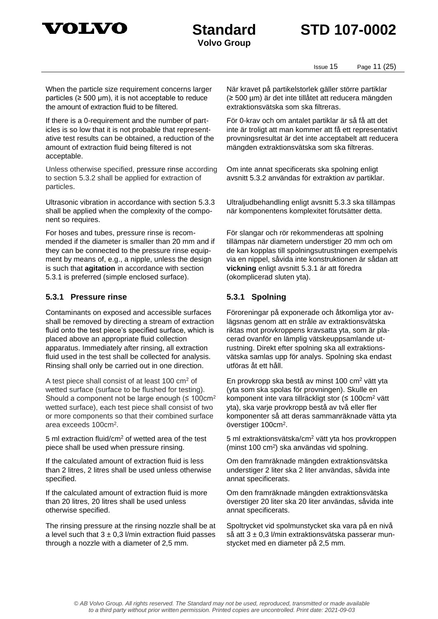



Issue 15 Page 11 (25)

When the particle size requirement concerns larger particles ( $\geq 500 \mu m$ ), it is not acceptable to reduce the amount of extraction fluid to be filtered.

If there is a 0-requirement and the number of particles is so low that it is not probable that representative test results can be obtained, a reduction of the amount of extraction fluid being filtered is not acceptable.

Unless otherwise specified, pressure rinse according to section 5.3.2 shall be applied for extraction of particles.

Ultrasonic vibration in accordance with section 5.3.3 shall be applied when the complexity of the component so requires.

For hoses and tubes, pressure rinse is recommended if the diameter is smaller than 20 mm and if they can be connected to the pressure rinse equipment by means of, e.g., a nipple, unless the design is such that **agitation** in accordance with section 5.3.1 is preferred (simple enclosed surface).

### **5.3.1 Pressure rinse 5.3.1 Spolning**

Contaminants on exposed and accessible surfaces shall be removed by directing a stream of extraction fluid onto the test piece's specified surface, which is placed above an appropriate fluid collection apparatus. Immediately after rinsing, all extraction fluid used in the test shall be collected for analysis. Rinsing shall only be carried out in one direction.

A test piece shall consist of at least 100 cm<sup>2</sup> of wetted surface (surface to be flushed for testing). Should a component not be large enough ( $\leq 100 \text{cm}^2$ ) wetted surface), each test piece shall consist of two or more components so that their combined surface area exceeds 100cm<sup>2</sup>.

5 ml extraction fluid/cm<sup>2</sup> of wetted area of the test piece shall be used when pressure rinsing.

If the calculated amount of extraction fluid is less than 2 litres, 2 litres shall be used unless otherwise specified.

If the calculated amount of extraction fluid is more than 20 litres, 20 litres shall be used unless otherwise specified.

The rinsing pressure at the rinsing nozzle shall be at a level such that  $3 \pm 0.3$  l/min extraction fluid passes through a nozzle with a diameter of 2,5 mm.

När kravet på partikelstorlek gäller större partiklar (≥ 500 µm) är det inte tillåtet att reducera mängden extraktionsvätska som ska filtreras.

För 0-krav och om antalet partiklar är så få att det inte är troligt att man kommer att få ett representativt provningsresultat är det inte acceptabelt att reducera mängden extraktionsvätska som ska filtreras.

Om inte annat specificerats ska spolning enligt avsnitt 5.3.2 användas för extraktion av partiklar.

Ultraljudbehandling enligt avsnitt 5.3.3 ska tillämpas när komponentens komplexitet förutsätter detta.

För slangar och rör rekommenderas att spolning tillämpas när diametern understiger 20 mm och om de kan kopplas till spolningsutrustningen exempelvis via en nippel, såvida inte konstruktionen är sådan att **vickning** enligt avsnitt 5.3.1 är att föredra (okomplicerad sluten yta).

Föroreningar på exponerade och åtkomliga ytor avlägsnas genom att en stråle av extraktionsvätska riktas mot provkroppens kravsatta yta, som är placerad ovanför en lämplig vätskeuppsamlande utrustning. Direkt efter spolning ska all extraktionsvätska samlas upp för analys. Spolning ska endast utföras åt ett håll.

En provkropp ska bestå av minst 100 cm<sup>2</sup> vätt yta (yta som ska spolas för provningen). Skulle en komponent inte vara tillräckligt stor (≤ 100cm<sup>2</sup> vätt yta), ska varje provkropp bestå av två eller fler komponenter så att deras sammanräknade vätta yta överstiger 100cm<sup>2</sup> .

5 ml extraktionsvätska/cm<sup>2</sup> vätt yta hos provkroppen (minst 100 cm<sup>2</sup> ) ska användas vid spolning.

Om den framräknade mängden extraktionsvätska understiger 2 liter ska 2 liter användas, såvida inte annat specificerats.

Om den framräknade mängden extraktionsvätska överstiger 20 liter ska 20 liter användas, såvida inte annat specificerats.

Spoltrycket vid spolmunstycket ska vara på en nivå så att 3 ± 0,3 l/min extraktionsvätska passerar munstycket med en diameter på 2,5 mm.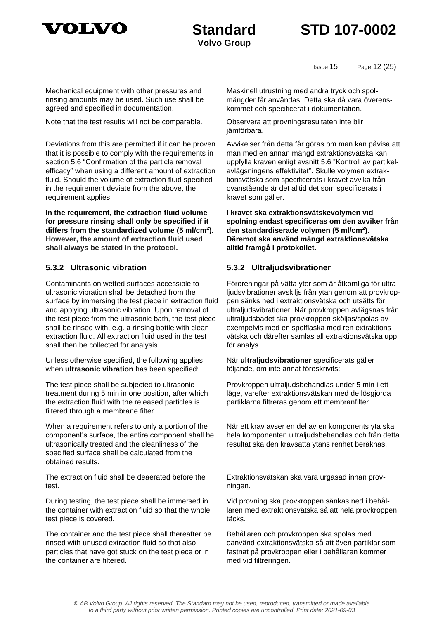



Issue 15 Page 12 (25)

Mechanical equipment with other pressures and rinsing amounts may be used. Such use shall be agreed and specified in documentation.

Note that the test results will not be comparable.

Deviations from this are permitted if it can be proven that it is possible to comply with the requirements in section 5.6 "Confirmation of the particle removal efficacy" when using a different amount of extraction fluid. Should the volume of extraction fluid specified in the requirement deviate from the above, the requirement applies.

**In the requirement, the extraction fluid volume for pressure rinsing shall only be specified if it differs from the standardized volume (5 ml/cm<sup>2</sup> ). However, the amount of extraction fluid used shall always be stated in the protocol.**

Contaminants on wetted surfaces accessible to ultrasonic vibration shall be detached from the surface by immersing the test piece in extraction fluid and applying ultrasonic vibration. Upon removal of the test piece from the ultrasonic bath, the test piece shall be rinsed with, e.g. a rinsing bottle with clean extraction fluid. All extraction fluid used in the test shall then be collected for analysis.

Unless otherwise specified, the following applies when **ultrasonic vibration** has been specified:

The test piece shall be subjected to ultrasonic treatment during 5 min in one position, after which the extraction fluid with the released particles is filtered through a membrane filter.

When a requirement refers to only a portion of the component's surface, the entire component shall be ultrasonically treated and the cleanliness of the specified surface shall be calculated from the obtained results.

The extraction fluid shall be deaerated before the test.

During testing, the test piece shall be immersed in the container with extraction fluid so that the whole test piece is covered.

The container and the test piece shall thereafter be rinsed with unused extraction fluid so that also particles that have got stuck on the test piece or in the container are filtered.

Maskinell utrustning med andra tryck och spolmängder får användas. Detta ska då vara överenskommet och specificerat i dokumentation.

Observera att provningsresultaten inte blir jämförbara.

Avvikelser från detta får göras om man kan påvisa att man med en annan mängd extraktionsvätska kan uppfylla kraven enligt avsnitt 5.6 "Kontroll av partikelavlägsningens effektivitet". Skulle volymen extraktionsvätska som specificerats i kravet avvika från ovanstående är det alltid det som specificerats i kravet som gäller.

**I kravet ska extraktionsvätskevolymen vid spolning endast specificeras om den avviker från den standardiserade volymen (5 ml/cm<sup>2</sup> ). Däremot ska använd mängd extraktionsvätska alltid framgå i protokollet.**

### **5.3.2 Ultrasonic vibration 5.3.2 Ultraljudsvibrationer**

Föroreningar på vätta ytor som är åtkomliga för ultraljudsvibrationer avskiljs från ytan genom att provkroppen sänks ned i extraktionsvätska och utsätts för ultraljudsvibrationer. När provkroppen avlägsnas från ultraljudsbadet ska provkroppen sköljas/spolas av exempelvis med en spolflaska med ren extraktionsvätska och därefter samlas all extraktionsvätska upp för analys.

När **ultraljudsvibrationer** specificerats gäller följande, om inte annat föreskrivits:

Provkroppen ultraljudsbehandlas under 5 min i ett läge, varefter extraktionsvätskan med de lösgjorda partiklarna filtreras genom ett membranfilter.

När ett krav avser en del av en komponents yta ska hela komponenten ultraljudsbehandlas och från detta resultat ska den kravsatta ytans renhet beräknas.

Extraktionsvätskan ska vara urgasad innan provningen.

Vid provning ska provkroppen sänkas ned i behållaren med extraktionsvätska så att hela provkroppen täcks.

Behållaren och provkroppen ska spolas med oanvänd extraktionsvätska så att även partiklar som fastnat på provkroppen eller i behållaren kommer med vid filtreringen.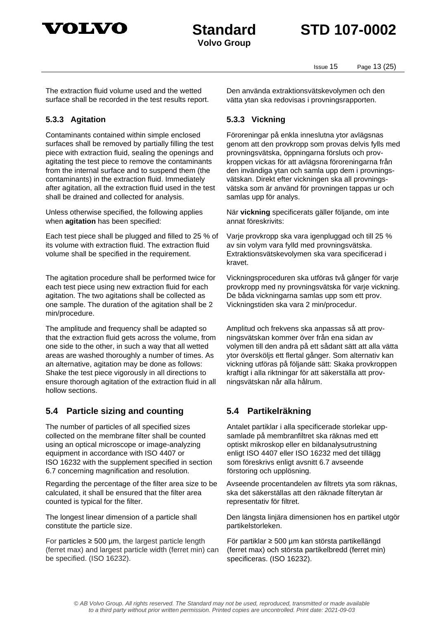

## **Standard STD 107-0002**

Issue 15 Page 13 (25)

The extraction fluid volume used and the wetted surface shall be recorded in the test results report.

### **5.3.3 Agitation 5.3.3 Vickning**

Contaminants contained within simple enclosed surfaces shall be removed by partially filling the test piece with extraction fluid, sealing the openings and agitating the test piece to remove the contaminants from the internal surface and to suspend them (the contaminants) in the extraction fluid. Immediately after agitation, all the extraction fluid used in the test shall be drained and collected for analysis.

Unless otherwise specified, the following applies when **agitation** has been specified:

Each test piece shall be plugged and filled to 25 % of its volume with extraction fluid. The extraction fluid volume shall be specified in the requirement.

The agitation procedure shall be performed twice for each test piece using new extraction fluid for each agitation. The two agitations shall be collected as one sample. The duration of the agitation shall be 2 min/procedure.

The amplitude and frequency shall be adapted so that the extraction fluid gets across the volume, from one side to the other, in such a way that all wetted areas are washed thoroughly a number of times. As an alternative, agitation may be done as follows: Shake the test piece vigorously in all directions to ensure thorough agitation of the extraction fluid in all hollow sections.

### <span id="page-12-0"></span>**5.4 Particle sizing and counting 5.4 Partikelräkning**

The number of particles of all specified sizes collected on the membrane filter shall be counted using an optical microscope or image-analyzing equipment in accordance with ISO 4407 or ISO 16232 with the supplement specified in section 6.7 concerning magnification and resolution.

Regarding the percentage of the filter area size to be calculated, it shall be ensured that the filter area counted is typical for the filter.

The longest linear dimension of a particle shall constitute the particle size.

For particles  $\geq$  500 µm, the largest particle length (ferret max) and largest particle width (ferret min) can be specified. (ISO 16232).

Den använda extraktionsvätskevolymen och den vätta ytan ska redovisas i provningsrapporten.

Föroreningar på enkla inneslutna ytor avlägsnas genom att den provkropp som provas delvis fylls med provningsvätska, öppningarna försluts och provkroppen vickas för att avlägsna föroreningarna från den invändiga ytan och samla upp dem i provningsvätskan. Direkt efter vickningen ska all provningsvätska som är använd för provningen tappas ur och samlas upp för analys.

När **vickning** specificerats gäller följande, om inte annat föreskrivits:

Varje provkropp ska vara igenpluggad och till 25 % av sin volym vara fylld med provningsvätska. Extraktionsvätskevolymen ska vara specificerad i kravet.

Vickningsproceduren ska utföras två gånger för varje provkropp med ny provningsvätska för varje vickning. De båda vickningarna samlas upp som ett prov. Vickningstiden ska vara 2 min/procedur.

Amplitud och frekvens ska anpassas så att provningsvätskan kommer över från ena sidan av volymen till den andra på ett sådant sätt att alla vätta ytor översköljs ett flertal gånger. Som alternativ kan vickning utföras på följande sätt: Skaka provkroppen kraftigt i alla riktningar för att säkerställa att provningsvätskan når alla hålrum.

<span id="page-12-1"></span>Antalet partiklar i alla specificerade storlekar uppsamlade på membranfiltret ska räknas med ett optiskt mikroskop eller en bildanalysutrustning enligt ISO 4407 eller ISO 16232 med det tillägg som föreskrivs enligt avsnitt 6.7 avseende förstoring och upplösning.

Avseende procentandelen av filtrets yta som räknas, ska det säkerställas att den räknade filterytan är representativ för filtret.

Den längsta linjära dimensionen hos en partikel utgör partikelstorleken.

För partiklar ≥ 500 µm kan största partikellängd (ferret max) och största partikelbredd (ferret min) specificeras. (ISO 16232).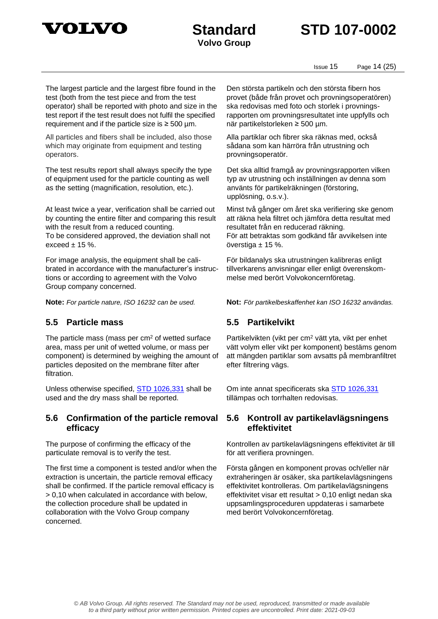



**Volvo Group**

Issue 15 Page 14 (25)

The largest particle and the largest fibre found in the test (both from the test piece and from the test operator) shall be reported with photo and size in the test report if the test result does not fulfil the specified requirement and if the particle size is  $\geq 500$  µm.

All particles and fibers shall be included, also those which may originate from equipment and testing operators.

The test results report shall always specify the type of equipment used for the particle counting as well as the setting (magnification, resolution, etc.).

At least twice a year, verification shall be carried out by counting the entire filter and comparing this result with the result from a reduced counting. To be considered approved, the deviation shall not exceed  $\pm$  15 %.

For image analysis, the equipment shall be calibrated in accordance with the manufacturer's instructions or according to agreement with the Volvo Group company concerned.

### <span id="page-13-0"></span>**5.5 Particle mass 5.5 Partikelvikt**

The particle mass (mass per  $cm<sup>2</sup>$  of wetted surface area, mass per unit of wetted volume, or mass per component) is determined by weighing the amount of particles deposited on the membrane filter after filtration.

Unless otherwise specified, [STD 1026,331](1026331.pdf) shall be used and the dry mass shall be reported.

### <span id="page-13-1"></span>**5.6 Confirmation of the particle removal efficacy**

The purpose of confirming the efficacy of the particulate removal is to verify the test.

The first time a component is tested and/or when the extraction is uncertain, the particle removal efficacy shall be confirmed. If the particle removal efficacy is > 0,10 when calculated in accordance with below, the collection procedure shall be updated in collaboration with the Volvo Group company concerned.

Den största partikeln och den största fibern hos provet (både från provet och provningsoperatören) ska redovisas med foto och storlek i provningsrapporten om provningsresultatet inte uppfylls och när partikelstorleken ≥ 500 µm.

Alla partiklar och fibrer ska räknas med, också sådana som kan härröra från utrustning och provningsoperatör.

Det ska alltid framgå av provningsrapporten vilken typ av utrustning och inställningen av denna som använts för partikelräkningen (förstoring, upplösning, o.s.v.).

Minst två gånger om året ska verifiering ske genom att räkna hela filtret och jämföra detta resultat med resultatet från en reducerad räkning. För att betraktas som godkänd får avvikelsen inte överstiga  $\pm$  15 %.

För bildanalys ska utrustningen kalibreras enligt tillverkarens anvisningar eller enligt överenskommelse med berört Volvokoncernföretag.

**Note:** *For particle nature, ISO 16232 can be used.* **Not:** *För partikelbeskaffenhet kan ISO 16232 användas.*

<span id="page-13-2"></span>Partikelvikten (vikt per cm<sup>2</sup> vätt yta, vikt per enhet vätt volym eller vikt per komponent) bestäms genom att mängden partiklar som avsatts på membranfiltret efter filtrering vägs.

Om inte annat specificerats ska [STD 1026,331](1026331.pdf) tillämpas och torrhalten redovisas.

### <span id="page-13-3"></span>**5.6 Kontroll av partikelavlägsningens effektivitet**

Kontrollen av partikelavlägsningens effektivitet är till för att verifiera provningen.

Första gången en komponent provas och/eller när extraheringen är osäker, ska partikelavlägsningens effektivitet kontrolleras. Om partikelavlägsningens effektivitet visar ett resultat > 0,10 enligt nedan ska uppsamlingsproceduren uppdateras i samarbete med berört Volvokoncernföretag.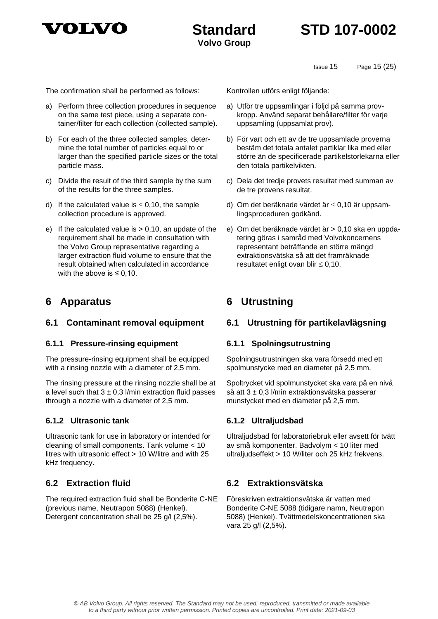

Issue 15 Page 15 (25)

The confirmation shall be performed as follows: Kontrollen utförs enligt följande:

- a) Perform three collection procedures in sequence on the same test piece, using a separate container/filter for each collection (collected sample).
- b) For each of the three collected samples, determine the total number of particles equal to or larger than the specified particle sizes or the total particle mass.
- c) Divide the result of the third sample by the sum of the results for the three samples.
- d) If the calculated value is  $\leq$  0,10, the sample collection procedure is approved.
- e) If the calculated value is  $> 0.10$ , an update of the requirement shall be made in consultation with the Volvo Group representative regarding a larger extraction fluid volume to ensure that the result obtained when calculated in accordance with the above is  $\leq 0.10$ .

### <span id="page-14-0"></span>**6 Apparatus 6 Utrustning**

#### **6.1.1 Pressure-rinsing equipment 6.1.1 Spolningsutrustning**

The pressure-rinsing equipment shall be equipped with a rinsing nozzle with a diameter of 2,5 mm.

The rinsing pressure at the rinsing nozzle shall be at a level such that  $3 \pm 0.3$  l/min extraction fluid passes through a nozzle with a diameter of 2,5 mm.

#### **6.1.2 Ultrasonic tank 6.1.2 Ultraljudsbad**

Ultrasonic tank for use in laboratory or intended for cleaning of small components. Tank volume < 10 litres with ultrasonic effect > 10 W/litre and with 25 kHz frequency.

The required extraction fluid shall be Bonderite C-NE (previous name, Neutrapon 5088) (Henkel). Detergent concentration shall be 25 g/l (2,5%).

- a) Utför tre uppsamlingar i följd på samma provkropp. Använd separat behållare/filter för varje uppsamling (uppsamlat prov).
- b) För vart och ett av de tre uppsamlade proverna bestäm det totala antalet partiklar lika med eller större än de specificerade partikelstorlekarna eller den totala partikelvikten.
- c) Dela det tredje provets resultat med summan av de tre provens resultat.
- d) Om det beräknade värdet är  $\leq 0,10$  är uppsamlingsproceduren godkänd.
- <span id="page-14-3"></span>e) Om det beräknade värdet är > 0,10 ska en uppdatering göras i samråd med Volvokoncernens representant beträffande en större mängd extraktionsvätska så att det framräknade resultatet enligt ovan blir  $\leq 0,10$ .

### <span id="page-14-1"></span>**6.1 Contaminant removal equipment 6.1 Utrustning för partikelavlägsning**

<span id="page-14-4"></span>Spolningsutrustningen ska vara försedd med ett spolmunstycke med en diameter på 2,5 mm.

Spoltrycket vid spolmunstycket ska vara på en nivå så att 3 ± 0,3 l/min extraktionsvätska passerar munstycket med en diameter på 2,5 mm.

Ultraljudsbad för laboratoriebruk eller avsett för tvätt av små komponenter. Badvolym < 10 liter med ultraljudseffekt > 10 W/liter och 25 kHz frekvens.

### <span id="page-14-2"></span>**6.2 Extraction fluid 6.2 Extraktionsvätska**

<span id="page-14-5"></span>Föreskriven extraktionsvätska är vatten med Bonderite C-NE 5088 (tidigare namn, Neutrapon 5088) (Henkel). Tvättmedelskoncentrationen ska vara 25 g/l (2,5%).

© AB Volvo Group. All rights reserved. The Standard may not be used, reproduced, transmitted or made available to a third party without prior written permission. Printed copies are uncontrolled. Print date: 2021-09-03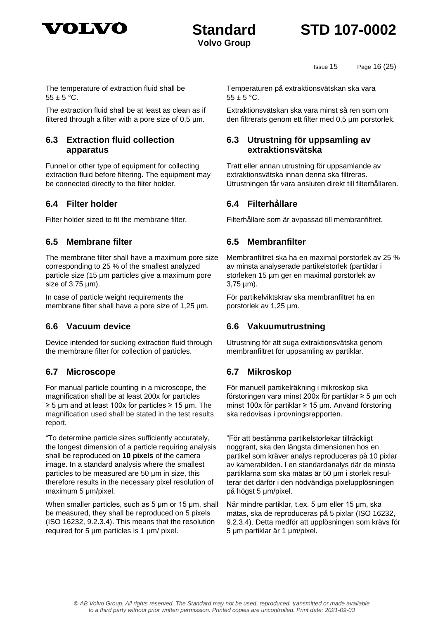



Issue 15 Page 16 (25)

The temperature of extraction fluid shall be  $55 + 5 °C$ .

The extraction fluid shall be at least as clean as if filtered through a filter with a pore size of 0,5 µm.

### <span id="page-15-0"></span>**6.3 Extraction fluid collection apparatus**

Funnel or other type of equipment for collecting extraction fluid before filtering. The equipment may be connected directly to the filter holder.

### <span id="page-15-1"></span>**6.4 Filter holder 6.4 Filterhållare**

### <span id="page-15-2"></span>**6.5 Membrane filter 6.5 Membranfilter**

The membrane filter shall have a maximum pore size corresponding to 25 % of the smallest analyzed particle size (15 µm particles give a maximum pore size of 3,75 µm).

In case of particle weight requirements the membrane filter shall have a pore size of 1,25  $\mu$ m.

Device intended for sucking extraction fluid through the membrane filter for collection of particles.

### <span id="page-15-4"></span>**6.7 Microscope 6.7 Mikroskop**

For manual particle counting in a microscope, the magnification shall be at least 200x for particles ≥ 5 µm and at least 100x for particles ≥ 15 µm. The magnification used shall be stated in the test results report.

"To determine particle sizes sufficiently accurately, the longest dimension of a particle requiring analysis shall be reproduced on **10 pixels** of the camera image. In a standard analysis where the smallest particles to be measured are 50 μm in size, this therefore results in the necessary pixel resolution of maximum 5 μm/pixel.

When smaller particles, such as 5 μm or 15 μm, shall be measured, they shall be reproduced on 5 pixels (ISO 16232, 9.2.3.4). This means that the resolution required for 5 µm particles is 1 µm/ pixel.

Temperaturen på extraktionsvätskan ska vara  $55 + 5$  °C.

Extraktionsvätskan ska vara minst så ren som om den filtrerats genom ett filter med 0,5 µm porstorlek.

### <span id="page-15-5"></span>**6.3 Utrustning för uppsamling av extraktionsvätska**

<span id="page-15-6"></span>Tratt eller annan utrustning för uppsamlande av extraktionsvätska innan denna ska filtreras. Utrustningen får vara ansluten direkt till filterhållaren.

Filter holder sized to fit the membrane filter. Filterhållare som är avpassad till membranfiltret.

<span id="page-15-7"></span>Membranfiltret ska ha en maximal porstorlek av 25 % av minsta analyserade partikelstorlek (partiklar i storleken 15 µm ger en maximal porstorlek av 3,75 µm).

<span id="page-15-8"></span>För partikelviktskrav ska membranfiltret ha en porstorlek av 1,25 µm.

### <span id="page-15-3"></span>**6.6 Vacuum device 6.6 Vakuumutrustning**

<span id="page-15-9"></span>Utrustning för att suga extraktionsvätska genom membranfiltret för uppsamling av partiklar.

För manuell partikelräkning i mikroskop ska förstoringen vara minst 200x för partiklar ≥ 5 µm och minst 100x för partiklar ≥ 15 µm. Använd förstoring ska redovisas i provningsrapporten.

"För att bestämma partikelstorlekar tillräckligt noggrant, ska den längsta dimensionen hos en partikel som kräver analys reproduceras på 10 pixlar av kamerabilden. I en standardanalys där de minsta partiklarna som ska mätas är 50 μm i storlek resulterar det därför i den nödvändiga pixelupplösningen på högst 5 μm/pixel.

När mindre partiklar, t.ex. 5 μm eller 15 μm, ska mätas, ska de reproduceras på 5 pixlar (ISO 16232, 9.2.3.4). Detta medför att upplösningen som krävs för 5 μm partiklar är 1 μm/pixel.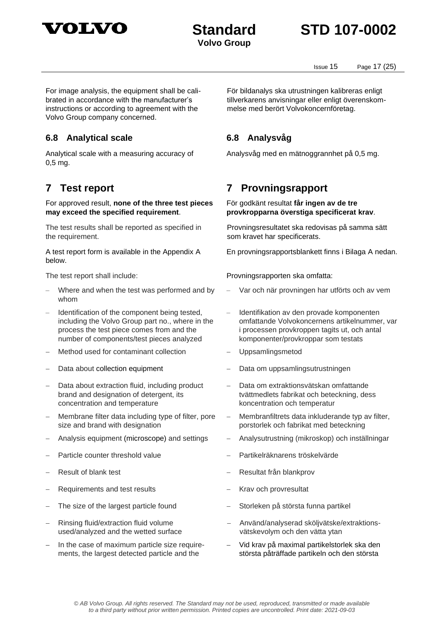

## **Standard STD 107-0002**

Issue 15 Page 17 (25)

For image analysis, the equipment shall be calibrated in accordance with the manufacturer's instructions or according to agreement with the Volvo Group company concerned.

### <span id="page-16-0"></span>**6.8 Analytical scale 6.8 Analysvåg**

Analytical scale with a measuring accuracy of 0,5 mg.

For approved result, **none of the three test pieces may exceed the specified requirement**.

The test results shall be reported as specified in the requirement.

A test report form is available in the Appendix A below.

- Where and when the test was performed and by whom
- Identification of the component being tested, including the Volvo Group part no., where in the process the test piece comes from and the number of components/test pieces analyzed
- Method used for contaminant collection − Uppsamlingsmetod
- 
- Data about extraction fluid, including product brand and designation of detergent, its concentration and temperature
- − Membrane filter data including type of filter, pore size and brand with designation
- 
- 
- 
- − Requirements and test results − Krav och provresultat
- 
- − Rinsing fluid/extraction fluid volume used/analyzed and the wetted surface
- − In the case of maximum particle size requirements, the largest detected particle and the

För bildanalys ska utrustningen kalibreras enligt tillverkarens anvisningar eller enligt överenskommelse med berört Volvokoncernföretag.

<span id="page-16-3"></span><span id="page-16-2"></span>Analysvåg med en mätnoggrannhet på 0,5 mg.

### <span id="page-16-1"></span>**7 Test report 7 Provningsrapport**

#### För godkänt resultat **får ingen av de tre provkropparna överstiga specificerat krav**.

Provningsresultatet ska redovisas på samma sätt som kravet har specificerats.

En provningsrapportsblankett finns i Bilaga A nedan.

The test report shall include: Provningsrapporten ska omfatta:

- Var och när provningen har utförts och av vem
- Identifikation av den provade komponenten omfattande Volvokoncernens artikelnummer, var i processen provkroppen tagits ut, och antal komponenter/provkroppar som testats
- 
- Data about collection equipment − Data om uppsamlingsutrustningen
	- − Data om extraktionsvätskan omfattande tvättmedlets fabrikat och beteckning, dess koncentration och temperatur
	- Membranfiltrets data inkluderande typ av filter, porstorlek och fabrikat med beteckning
- − Analysis equipment (microscope) and settings − Analysutrustning (mikroskop) och inställningar
- − Particle counter threshold value − Partikelräknarens tröskelvärde
- − Result of blank test − Resultat från blankprov
	-
- The size of the largest particle found − Storleken på största funna partikel
	- − Använd/analyserad sköljvätske/extraktionsvätskevolym och den vätta ytan
	- − Vid krav på maximal partikelstorlek ska den största påträffade partikeln och den största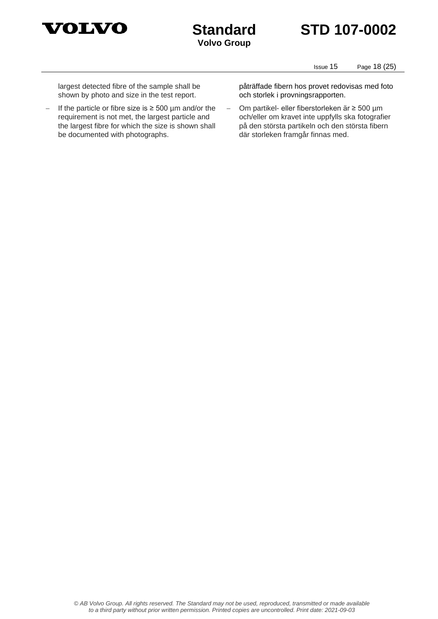



**Volvo Group**

Issue 15 Page 18 (25)

largest detected fibre of the sample shall be shown by photo and size in the test report.

− If the particle or fibre size is ≥ 500 µm and/or the requirement is not met, the largest particle and the largest fibre for which the size is shown shall be documented with photographs.

påträffade fibern hos provet redovisas med foto och storlek i provningsrapporten.

− Om partikel- eller fiberstorleken är ≥ 500 µm och/eller om kravet inte uppfylls ska fotografier på den största partikeln och den största fibern där storleken framgår finnas med.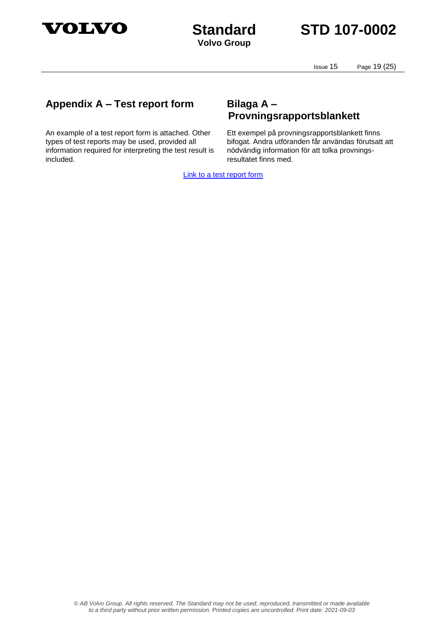

**Volvo Group**

Issue 15 Page 19 (25)

### <span id="page-18-0"></span>**Appendix A – Test report form Bilaga A –**

An example of a test report form is attached. Other types of test reports may be used, provided all information required for interpreting the test result is included.

# <span id="page-18-1"></span>**Provningsrapportsblankett**

Ett exempel på provningsrapportsblankett finns bifogat. Andra utföranden får användas förutsatt att nödvändig information för att tolka provningsresultatet finns med.

[Link to a test report form](https://tech.volvo.net/webstdadmin/streamDoc?pDocumentId=76940)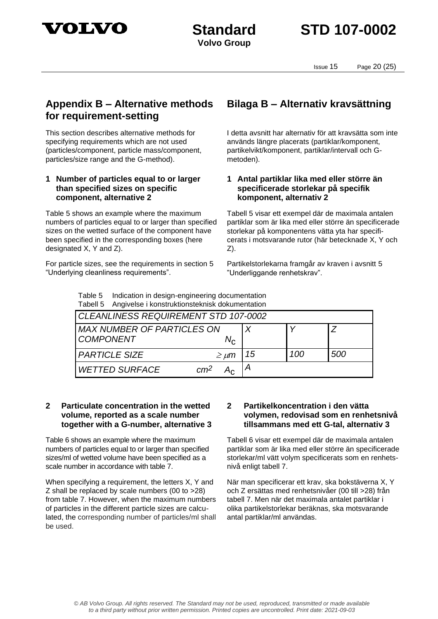

**Volvo Group**

Issue 15 Page 20 (25)

### <span id="page-19-0"></span>**Appendix B – Alternative methods for requirement-setting**

This section describes alternative methods for specifying requirements which are not used (particles/component, particle mass/component, particles/size range and the G-method).

### **1 Number of particles equal to or larger than specified sizes on specific component, alternative 2**

Table 5 shows an example where the maximum numbers of particles equal to or larger than specified sizes on the wetted surface of the component have been specified in the corresponding boxes (here designated X, Y and Z).

For particle sizes, see the requirements in section 5 "Underlying cleanliness requirements".

### <span id="page-19-1"></span>**Bilaga B – Alternativ kravsättning**

I detta avsnitt har alternativ för att kravsätta som inte används längre placerats (partiklar/komponent, partikelvikt/komponent, partiklar/intervall och Gmetoden).

### **1 Antal partiklar lika med eller större än specificerade storlekar på specifik komponent, alternativ 2**

Tabell 5 visar ett exempel där de maximala antalen partiklar som är lika med eller större än specificerade storlekar på komponentens vätta yta har specificerats i motsvarande rutor (här betecknade X, Y och Z).

Partikelstorlekarna framgår av kraven i avsnitt 5 "Underliggande renhetskrav".

Table 5 Indication in design-engineering documentation Tabell 5 Angivelse i konstruktionsteknisk dokumentation

| CLEANLINESS REQUIREMENT STD 107-0002                           |    |     |     |  |  |
|----------------------------------------------------------------|----|-----|-----|--|--|
| <b>MAX NUMBER OF PARTICLES ON</b><br><b>COMPONENT</b><br>$N_c$ |    |     |     |  |  |
| <b>PARTICLE SIZE</b><br>$\geq \mu m$                           | 15 | 100 | 500 |  |  |
| cm <sup>2</sup><br><b>WETTED SURFACE</b>                       |    |     |     |  |  |

#### **2 Particulate concentration in the wetted volume, reported as a scale number together with a G-number, alternative 3**

Table 6 shows an example where the maximum numbers of particles equal to or larger than specified sizes/ml of wetted volume have been specified as a scale number in accordance with table 7.

When specifying a requirement, the letters X, Y and Z shall be replaced by scale numbers (00 to >28) from table 7. However, when the maximum numbers of particles in the different particle sizes are calculated, the corresponding number of particles/ml shall be used.

#### **2 Partikelkoncentration i den vätta volymen, redovisad som en renhetsnivå tillsammans med ett G-tal, alternativ 3**

Tabell 6 visar ett exempel där de maximala antalen partiklar som är lika med eller större än specificerade storlekar/ml vätt volym specificerats som en renhetsnivå enligt tabell 7.

När man specificerar ett krav, ska bokstäverna X, Y och Z ersättas med renhetsnivåer (00 till >28) från tabell 7. Men när det maximala antalet partiklar i olika partikelstorlekar beräknas, ska motsvarande antal partiklar/ml användas.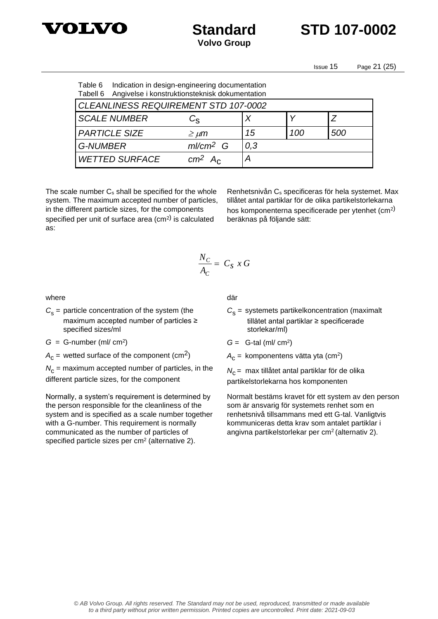

**Standard STD 107-0002**

Issue 15 Page 21 (25)

| Table 6<br>Tabell 6 | Indication in design-engineering documentation<br>Angivelse i konstruktionsteknisk dokumentation |                                |     |     |     |  |
|---------------------|--------------------------------------------------------------------------------------------------|--------------------------------|-----|-----|-----|--|
|                     | <b>CLEANLINESS REQUIREMENT STD 107-0002</b>                                                      |                                |     |     |     |  |
|                     | <b>SCALE NUMBER</b>                                                                              | $C_{\mathrm{S}}$               | Χ   |     |     |  |
|                     | <b>PARTICLE SIZE</b>                                                                             | $\geq \mu m$                   | 15  | 100 | 500 |  |
| <b>G-NUMBER</b>     |                                                                                                  | $ml/cm2$ G                     | 0,3 |     |     |  |
|                     | <b>WETTED SURFACE</b>                                                                            | cm <sup>2</sup> A <sub>c</sub> | Α   |     |     |  |

The scale number  $C_s$  shall be specified for the whole system. The maximum accepted number of particles, in the different particle sizes, for the components specified per unit of surface area (cm<sup>2)</sup> is calculated as:

Renhetsnivån C<sup>s</sup> specificeras för hela systemet. Max tillåtet antal partiklar för de olika partikelstorlekarna hos komponenterna specificerade per ytenhet (cm<sup>2)</sup> beräknas på följande sätt:

$$
\frac{N_C}{A_C} = C_S x G
$$

where

 $C_{\rm s}$  = particle concentration of the system (the maximum accepted number of particles ≥ specified sizes/ml

 $G = G$ -number (ml/ cm<sup>2</sup>)

 $A_{\rm C}$  = wetted surface of the component (cm<sup>2</sup>)

 $N_c$  = maximum accepted number of particles, in the different particle sizes, for the component

Normally, a system's requirement is determined by the person responsible for the cleanliness of the system and is specified as a scale number together with a G-number. This requirement is normally communicated as the number of particles of specified particle sizes per  $cm<sup>2</sup>$  (alternative 2).

där

- $C_{\rm s}$  = systemets partikelkoncentration (maximalt tillåtet antal partiklar ≥ specificerade storlekar/ml)
- $G =$  G-tal (ml/ cm<sup>2</sup>)
- A<sub>c</sub> = komponentens vätta yta (cm<sup>2</sup>)

*N*<sub>C</sub> = max tillåtet antal partiklar för de olika partikelstorlekarna hos komponenten

Normalt bestäms kravet för ett system av den person som är ansvarig för systemets renhet som en renhetsnivå tillsammans med ett G-tal. Vanligtvis kommuniceras detta krav som antalet partiklar i angivna partikelstorlekar per cm<sup>2</sup>(alternativ 2).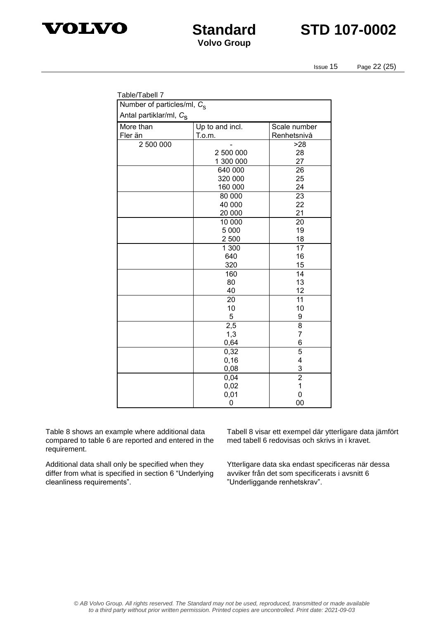



Issue 15 Page 22 (25)

| Table/Tabell 7                         |                 |                 |  |  |  |  |
|----------------------------------------|-----------------|-----------------|--|--|--|--|
| Number of particles/ml, C <sub>S</sub> |                 |                 |  |  |  |  |
| Antal partiklar/ml, C <sub>s</sub>     |                 |                 |  |  |  |  |
| More than                              | Up to and incl. | Scale number    |  |  |  |  |
| Fler än                                | T.o.m.          | Renhetsnivå     |  |  |  |  |
| 2 500 000                              |                 | >28             |  |  |  |  |
|                                        | 2 500 000       | 28              |  |  |  |  |
|                                        | 1 300 000       | 27              |  |  |  |  |
|                                        | 640 000         | 26              |  |  |  |  |
|                                        | 320 000         | 25              |  |  |  |  |
|                                        | 160 000         | 24              |  |  |  |  |
|                                        | 80 000          | $\overline{23}$ |  |  |  |  |
|                                        | 40 000          | 22              |  |  |  |  |
|                                        | 20 000          | 21              |  |  |  |  |
|                                        | 10 000          | 20              |  |  |  |  |
|                                        | 5 0 0 0         | 19              |  |  |  |  |
|                                        | 2 500           | 18              |  |  |  |  |
|                                        | 1 300           | $\overline{17}$ |  |  |  |  |
|                                        | 640             | 16              |  |  |  |  |
|                                        | 320             | 15              |  |  |  |  |
|                                        | 160             | $\overline{14}$ |  |  |  |  |
|                                        | 80<br>40        | 13<br>12        |  |  |  |  |
|                                        |                 | 11              |  |  |  |  |
|                                        | 20<br>10        | 10              |  |  |  |  |
|                                        | 5               | 9               |  |  |  |  |
|                                        | 2,5             | 8               |  |  |  |  |
|                                        | 1,3             | $\overline{7}$  |  |  |  |  |
|                                        | 0,64            | 6               |  |  |  |  |
|                                        | 0,32            | 5               |  |  |  |  |
|                                        | 0, 16           | 4               |  |  |  |  |
|                                        | 0,08            |                 |  |  |  |  |
|                                        | 0,04            | $\frac{3}{2}$   |  |  |  |  |
|                                        | 0,02            | $\mathbf 1$     |  |  |  |  |
|                                        | 0,01            | 0               |  |  |  |  |
|                                        | 0               | 00              |  |  |  |  |

Table 8 shows an example where additional data compared to table 6 are reported and entered in the requirement.

Additional data shall only be specified when they differ from what is specified in section 6 "Underlying cleanliness requirements".

Tabell 8 visar ett exempel där ytterligare data jämfört med tabell 6 redovisas och skrivs in i kravet.

Ytterligare data ska endast specificeras när dessa avviker från det som specificerats i avsnitt 6 "Underliggande renhetskrav".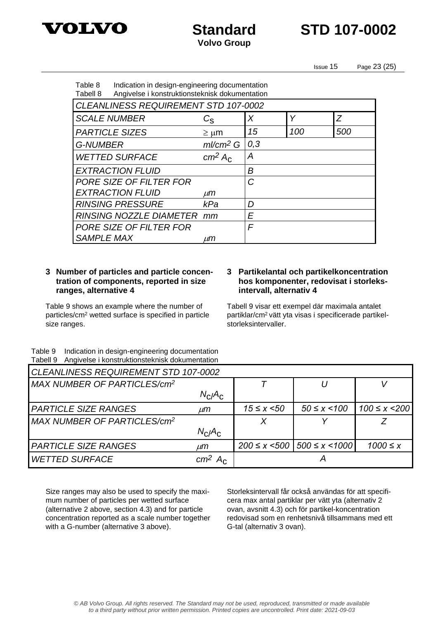



Issue 15 Page 23 (25)

| Table 8<br>Tabell 8                         | Indication in design-engineering documentation<br>Angivelse i konstruktionsteknisk dokumentation |     |     |     |  |  |  |
|---------------------------------------------|--------------------------------------------------------------------------------------------------|-----|-----|-----|--|--|--|
| <b>CLEANLINESS REQUIREMENT STD 107-0002</b> |                                                                                                  |     |     |     |  |  |  |
| <b>SCALE NUMBER</b>                         | $C_{\rm S}$                                                                                      | X   | Υ   | Z   |  |  |  |
| <b>PARTICLE SIZES</b>                       | $\geq \mu m$                                                                                     | 15  | 100 | 500 |  |  |  |
| <b>G-NUMBER</b>                             | $ml/cm2$ G                                                                                       | 0,3 |     |     |  |  |  |
| <b>WETTED SURFACE</b>                       | cm <sup>2</sup> A <sub>c</sub>                                                                   | А   |     |     |  |  |  |
| <b>EXTRACTION FLUID</b>                     |                                                                                                  | В   |     |     |  |  |  |
| PORE SIZE OF FILTER FOR                     |                                                                                                  | C   |     |     |  |  |  |
| <b>EXTRACTION FLUID</b>                     | иm                                                                                               |     |     |     |  |  |  |
| <b>RINSING PRESSURE</b>                     | kPa                                                                                              | D   |     |     |  |  |  |
| RINSING NOZZLE DIAMETER mm                  |                                                                                                  | E   |     |     |  |  |  |
| PORE SIZE OF FILTER FOR                     |                                                                                                  | F   |     |     |  |  |  |
| <b>SAMPLE MAX</b>                           | иm                                                                                               |     |     |     |  |  |  |

### **3 Number of particles and particle concentration of components, reported in size ranges, alternative 4**

Table 9 shows an example where the number of particles/cm<sup>2</sup> wetted surface is specified in particle size ranges.

#### **3 Partikelantal och partikelkoncentration hos komponenter, redovisat i storleksintervall, alternativ 4**

Tabell 9 visar ett exempel där maximala antalet partiklar/cm2 vätt yta visas i specificerade partikelstorleksintervaller.

Table 9 Indication in design-engineering documentation Tabell 9 Angivelse i konstruktionsteknisk dokumentation

| <b>CLEANLINESS REQUIREMENT STD 107-0002</b> |                                |                     |                        |                     |  |
|---------------------------------------------|--------------------------------|---------------------|------------------------|---------------------|--|
| MAX NUMBER OF PARTICLES/cm <sup>2</sup>     |                                |                     |                        |                     |  |
|                                             | $N_{C}/A_{C}$                  |                     |                        |                     |  |
| <b>PARTICLE SIZE RANGES</b>                 | $\mu$ m                        | $15 \le x \le 50$   | $50 \le x \le 100$     | $100 \le x \le 200$ |  |
| MAX NUMBER OF PARTICLES/cm <sup>2</sup>     |                                |                     |                        |                     |  |
|                                             | $N_C/A_C$                      |                     |                        |                     |  |
| <b>PARTICLE SIZE RANGES</b>                 | $\mu$ m                        | $200 \le x \le 500$ | $500 \leq x \leq 1000$ | $1000 \leq x$       |  |
| <b>WETTED SURFACE</b>                       | cm <sup>2</sup> A <sub>c</sub> |                     |                        |                     |  |

Size ranges may also be used to specify the maximum number of particles per wetted surface (alternative 2 above, section 4.3) and for particle concentration reported as a scale number together with a G-number (alternative 3 above).

Storleksintervall får också användas för att specificera max antal partiklar per vätt yta (alternativ 2 ovan, avsnitt 4.3) och för partikel-koncentration redovisad som en renhetsnivå tillsammans med ett G-tal (alternativ 3 ovan).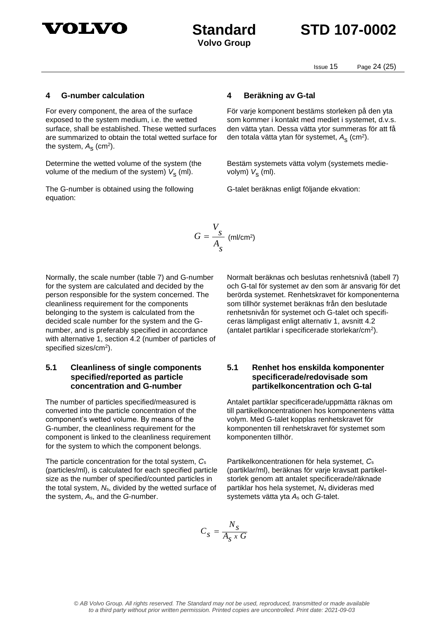

Issue 15 Page 24 (25)

#### **4 G-number calculation 4 Beräkning av G-tal**

For every component, the area of the surface exposed to the system medium, i.e. the wetted surface, shall be established. These wetted surfaces are summarized to obtain the total wetted surface for the system,  $A_{\rm S}^{\phantom{\dag}}$  (cm<sup>2</sup>).

Determine the wetted volume of the system (the volume of the medium of the system) *V*<sub>s</sub> (ml).

The G-number is obtained using the following equation:

För varje komponent bestäms storleken på den yta som kommer i kontakt med mediet i systemet, d.v.s. den vätta ytan. Dessa vätta ytor summeras för att få den totala vätta ytan för systemet, A<sub>s</sub> (cm<sup>2</sup>).

Bestäm systemets vätta volym (systemets medievolym) *V*s (ml).

G-talet beräknas enligt följande ekvation:

$$
G = \frac{V_s}{A_s} \text{ (ml/cm²)}
$$

Normally, the scale number (table 7) and G-number for the system are calculated and decided by the person responsible for the system concerned. The cleanliness requirement for the components belonging to the system is calculated from the decided scale number for the system and the Gnumber, and is preferably specified in accordance with alternative 1, section 4.2 (number of particles of specified sizes/cm<sup>2</sup> ).

### **5.1 Cleanliness of single components specified/reported as particle concentration and G-number**

The number of particles specified/measured is converted into the particle concentration of the component's wetted volume. By means of the G-number, the cleanliness requirement for the component is linked to the cleanliness requirement for the system to which the component belongs.

The particle concentration for the total system, *C*<sup>s</sup> (particles/ml), is calculated for each specified particle size as the number of specified/counted particles in the total system, *N*s, divided by the wetted surface of the system, *A*s, and the *G*-number.

Normalt beräknas och beslutas renhetsnivå (tabell 7) och G-tal för systemet av den som är ansvarig för det berörda systemet. Renhetskravet för komponenterna som tillhör systemet beräknas från den beslutade renhetsnivån för systemet och G-talet och specificeras lämpligast enligt alternativ 1, avsnitt 4.2 (antalet partiklar i specificerade storlekar/cm<sup>2</sup> ).

### **5.1 Renhet hos enskilda komponenter specificerade/redovisade som partikelkoncentration och G-tal**

Antalet partiklar specificerade/uppmätta räknas om till partikelkoncentrationen hos komponentens vätta volym. Med G-talet kopplas renhetskravet för komponenten till renhetskravet för systemet som komponenten tillhör.

Partikelkoncentrationen för hela systemet, *C*<sup>s</sup> (partiklar/ml), beräknas för varje kravsatt partikelstorlek genom att antalet specificerade/räknade partiklar hos hela systemet, *N*<sup>s</sup> divideras med systemets vätta yta *A*<sup>s</sup> och *G*-talet.

$$
C_s = \frac{N_s}{A_s \times G}
$$